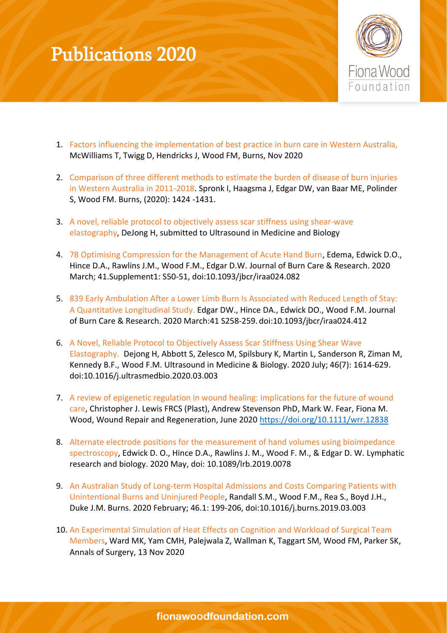

- 1. Factors influencing the implementation of best practice in burn care in Western Australia, McWilliams T, Twigg D, Hendricks J, Wood FM, Burns, Nov 2020
- 2. Comparison of three different methods to estimate the burden of disease of burn injuries in Western Australia in 2011-2018. Spronk I, Haagsma J, Edgar DW, van Baar ME, Polinder S, Wood FM. Burns, (2020): 1424 -1431.
- 3. A novel, reliable protocol to objectively assess scar stiffness using shear-wave elastography, DeJong H, submitted to Ultrasound in Medicine and Biology
- 4. 78 Optimising Compression for the Management of Acute Hand Burn, Edema, Edwick D.O., Hince D.A., Rawlins J.M., Wood F.M., Edgar D.W. Journal of Burn Care & Research. 2020 March; 41.Supplement1: S50-51, doi:10.1093/jbcr/iraa024.082
- 5. 839 Early Ambulation After a Lower Limb Burn Is Associated with Reduced Length of Stay: A Quantitative Longitudinal Study. Edgar DW., Hince DA., Edwick DO., Wood F.M. Journal of Burn Care & Research. 2020 March:41 S258-259. doi:10.1093/jbcr/iraa024.412
- 6. A Novel, Reliable Protocol to Objectively Assess Scar Stiffness Using Shear Wave Elastography. Dejong H, Abbott S, Zelesco M, Spilsbury K, Martin L, Sanderson R, Ziman M, Kennedy B.F., Wood F.M. Ultrasound in Medicine & Biology. 2020 July; 46(7): 1614-629. doi:10.1016/j.ultrasmedbio.2020.03.003
- 7. A review of epigenetic regulation in wound healing: Implications for the future of wound care, Christopher J. Lewis FRCS (Plast), Andrew Stevenson PhD, Mark W. Fear, Fiona M. Wood, Wound Repair and Regeneration, June 2020 <https://doi.org/10.1111/wrr.12838>
- 8. Alternate electrode positions for the measurement of hand volumes using bioimpedance spectroscopy, Edwick D. O., Hince D.A., Rawlins J. M., Wood F. M., & Edgar D. W. Lymphatic research and biology. 2020 May, doi: 10.1089/lrb.2019.0078
- 9. An Australian Study of Long-term Hospital Admissions and Costs Comparing Patients with Unintentional Burns and Uninjured People, Randall S.M., Wood F.M., Rea S., Boyd J.H., Duke J.M. Burns. 2020 February; 46.1: 199-206, doi:10.1016/j.burns.2019.03.003
- 10. An Experimental Simulation of Heat Effects on Cognition and Workload of Surgical Team Members, Ward MK, Yam CMH, Palejwala Z, Wallman K, Taggart SM, Wood FM, Parker SK, Annals of Surgery, 13 Nov 2020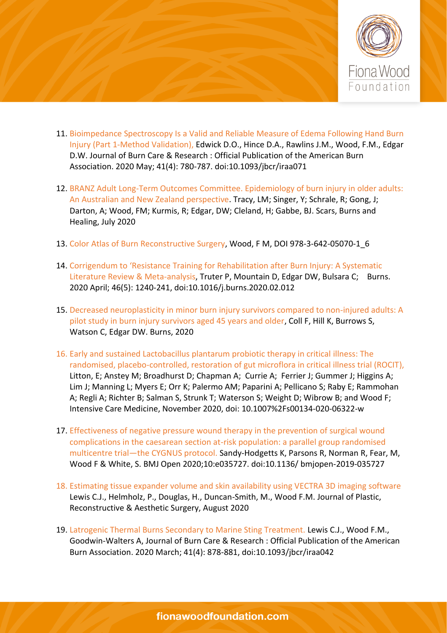

- 11. Bioimpedance Spectroscopy Is a Valid and Reliable Measure of Edema Following Hand Burn Injury (Part 1-Method Validation), Edwick D.O., Hince D.A., Rawlins J.M., Wood, F.M., Edgar D.W. Journal of Burn Care & Research : Official Publication of the American Burn Association. 2020 May; 41(4): 780-787. doi:10.1093/jbcr/iraa071
- 12. BRANZ Adult Long-Term Outcomes Committee. Epidemiology of burn injury in older adults: An Australian and New Zealand perspective. Tracy, LM; Singer, Y; Schrale, R; Gong, J; Darton, A; Wood, FM; Kurmis, R; Edgar, DW; Cleland, H; Gabbe, BJ. Scars, Burns and Healing, July 2020
- 13. Color Atlas of Burn Reconstructive Surgery, Wood, F M, DOI 978-3-642-05070-1\_6
- 14. Corrigendum to 'Resistance Training for Rehabilitation after Burn Injury: A Systematic Literature Review & Meta-analysis, Truter P, Mountain D, Edgar DW, Bulsara C; Burns. 2020 April; 46(5): 1240-241, doi:10.1016/j.burns.2020.02.012
- 15. Decreased neuroplasticity in minor burn injury survivors compared to non-injured adults: A pilot study in burn injury survivors aged 45 years and older, Coll F, Hill K, Burrows S, Watson C, Edgar DW. Burns, 2020
- 16. Early and sustained Lactobacillus plantarum probiotic therapy in critical illness: The randomised, placebo-controlled, restoration of gut microflora in critical illness trial (ROCIT), Litton, E; Anstey M; Broadhurst D; Chapman A; Currie A; Ferrier J; Gummer J; Higgins A; Lim J; Manning L; Myers E; Orr K; Palermo AM; Paparini A; Pellicano S; Raby E; Rammohan A; Regli A; Richter B; Salman S, Strunk T; Waterson S; Weight D; Wibrow B; and Wood F; Intensive Care Medicine, November 2020, doi: 10.1007%2Fs00134-020-06322-w
- 17. Effectiveness of negative pressure wound therapy in the prevention of surgical wound complications in the caesarean section at-risk population: a parallel group randomised multicentre trial—the CYGNUS protocol. Sandy-Hodgetts K, Parsons R, Norman R, Fear, M, Wood F & White, S. BMJ Open 2020;10:e035727. doi:10.1136/ bmjopen-2019-035727
- 18. Estimating tissue expander volume and skin availability using VECTRA 3D imaging software Lewis C.J., Helmholz, P., Douglas, H., Duncan-Smith, M., Wood F.M. Journal of Plastic, Reconstructive & Aesthetic Surgery, August 2020
- 19. Latrogenic Thermal Burns Secondary to Marine Sting Treatment. Lewis C.J., Wood F.M., Goodwin-Walters A, Journal of Burn Care & Research : Official Publication of the American Burn Association. 2020 March; 41(4): 878-881, doi:10.1093/jbcr/iraa042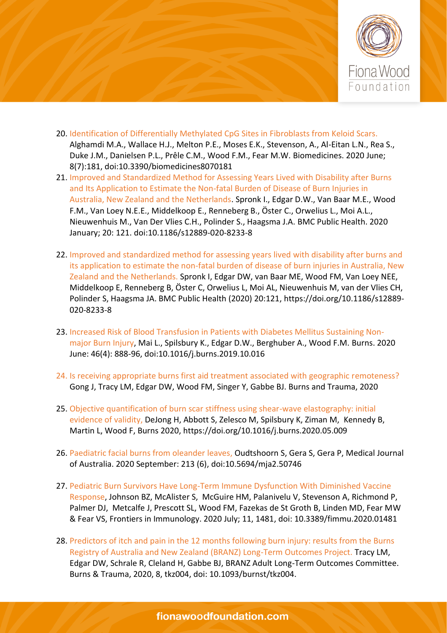

- 20. Identification of Differentially Methylated CpG Sites in Fibroblasts from Keloid Scars. Alghamdi M.A., Wallace H.J., Melton P.E., Moses E.K., Stevenson, A., Al-Eitan L.N., Rea S., Duke J.M., Danielsen P.L., Prêle C.M., Wood F.M., Fear M.W. Biomedicines. 2020 June; 8(7):181, doi:10.3390/biomedicines8070181
- 21. Improved and Standardized Method for Assessing Years Lived with Disability after Burns and Its Application to Estimate the Non-fatal Burden of Disease of Burn Injuries in Australia, New Zealand and the Netherlands. Spronk I., Edgar D.W., Van Baar M.E., Wood F.M., Van Loey N.E.E., Middelkoop E., Renneberg B., Öster C., Orwelius L., Moi A.L., Nieuwenhuis M., Van Der Vlies C.H., Polinder S., Haagsma J.A. BMC Public Health. 2020 January; 20: 121. doi:10.1186/s12889-020-8233-8
- 22. Improved and standardized method for assessing years lived with disability after burns and its application to estimate the non-fatal burden of disease of burn injuries in Australia, New Zealand and the Netherlands. Spronk I, Edgar DW, van Baar ME, Wood FM, Van Loey NEE, Middelkoop E, Renneberg B, Öster C, Orwelius L, Moi AL, Nieuwenhuis M, van der Vlies CH, Polinder S, Haagsma JA. BMC Public Health (2020) 20:121, [https://doi.org/10.1186/s12889-](https://doi.org/10.1186/s12889-020-8233-8) [020-8233-8](https://doi.org/10.1186/s12889-020-8233-8)
- 23. Increased Risk of Blood Transfusion in Patients with Diabetes Mellitus Sustaining Nonmajor Burn Injury, Mai L., Spilsbury K., Edgar D.W., Berghuber A., Wood F.M. Burns. 2020 June: 46(4): 888-96, doi:10.1016/j.burns.2019.10.016
- 24. Is receiving appropriate burns first aid treatment associated with geographic remoteness? Gong J, Tracy LM, Edgar DW, Wood FM, Singer Y, Gabbe BJ. Burns and Trauma, 2020
- 25. Objective quantification of burn scar stiffness using shear-wave elastography: initial evidence of validity, DeJong H, Abbott S, Zelesco M, Spilsbury K, Ziman M, Kennedy B, Martin L, Wood F, Burns 2020, https://doi.org/10.1016/j.burns.2020.05.009
- 26. Paediatric facial burns from oleander leaves, Oudtshoorn S, Gera S, Gera P, Medical Journal of Australia. 2020 September: 213 (6), doi:10.5694/mja2.50746
- 27. Pediatric Burn Survivors Have Long-Term Immune Dysfunction With Diminished Vaccine Response, Johnson BZ, McAlister S, McGuire HM, Palanivelu V, Stevenson A, Richmond P, Palmer DJ, Metcalfe J, Prescott SL, Wood FM, Fazekas de St Groth B, Linden MD, Fear MW & Fear VS, Frontiers in Immunology. 2020 July; 11, 1481, doi: 10.3389/fimmu.2020.01481
- 28. Predictors of itch and pain in the 12 months following burn injury: results from the Burns Registry of Australia and New Zealand (BRANZ) Long-Term Outcomes Project. Tracy LM, Edgar DW, Schrale R, Cleland H, Gabbe BJ, BRANZ Adult Long-Term Outcomes Committee. Burns & Trauma, 2020, 8, tkz004, doi: 10.1093/burnst/tkz004.

## fionawoodfoundation.com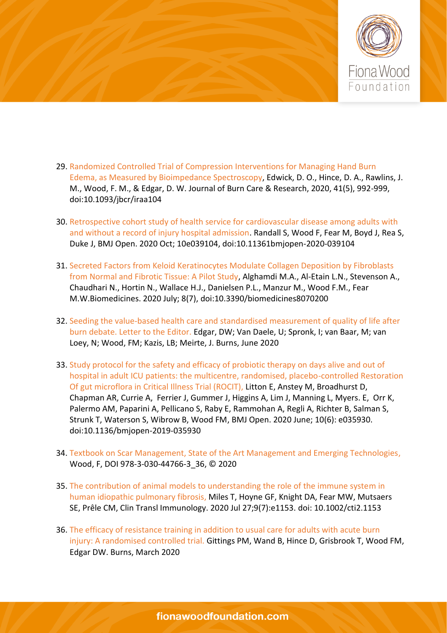

- 29. Randomized Controlled Trial of Compression Interventions for Managing Hand Burn Edema, as Measured by Bioimpedance Spectroscopy, Edwick, D. O., Hince, D. A., Rawlins, J. M., Wood, F. M., & Edgar, D. W. Journal of Burn Care & Research, 2020, 41(5), 992-999, doi:10.1093/jbcr/iraa104
- 30. Retrospective cohort study of health service for cardiovascular disease among adults with and without a record of injury hospital admission. Randall S, Wood F, Fear M, Boyd J, Rea S, Duke J, BMJ Open. 2020 Oct; 10e039104, doi:10.11361bmjopen-2020-039104
- 31. Secreted Factors from Keloid Keratinocytes Modulate Collagen Deposition by Fibroblasts from Normal and Fibrotic Tissue: A Pilot Study, Alghamdi M.A., Al-Etain L.N., Stevenson A., Chaudhari N., Hortin N., Wallace H.J., Danielsen P.L., Manzur M., Wood F.M., Fear M.W.Biomedicines. 2020 July; 8(7), doi:10.3390/biomedicines8070200
- 32. Seeding the value-based health care and standardised measurement of quality of life after burn debate. Letter to the Editor. Edgar, DW; Van Daele, U; Spronk, I; van Baar, M; van Loey, N; Wood, FM; Kazis, LB; Meirte, J. Burns, June 2020
- 33. Study protocol for the safety and efficacy of probiotic therapy on days alive and out of hospital in adult ICU patients: the multicentre, randomised, placebo-controlled Restoration Of gut microflora in Critical Illness Trial (ROCIT), Litton E, Anstey M, Broadhurst D, Chapman AR, Currie A, Ferrier J, Gummer J, Higgins A, Lim J, Manning L, Myers. E, Orr K, Palermo AM, Paparini A, Pellicano S, Raby E, Rammohan A, Regli A, Richter B, Salman S, Strunk T, Waterson S, Wibrow B, Wood FM, BMJ Open. 2020 June; 10(6): e035930. doi:10.1136/bmjopen-2019-035930
- 34. Textbook on Scar Management, State of the Art Management and Emerging Technologies, Wood, F, DOI 978-3-030-44766-3\_36, © 2020
- 35. The contribution of animal models to understanding the role of the immune system in human idiopathic pulmonary fibrosis, Miles T, Hoyne GF, Knight DA, Fear MW, Mutsaers SE, Prêle CM, Clin Transl Immunology. 2020 Jul 27;9(7):e1153. doi: 10.1002/cti2.1153
- 36. The efficacy of resistance training in addition to usual care for adults with acute burn injury: A randomised controlled trial. Gittings PM, Wand B, Hince D, Grisbrook T, Wood FM, Edgar DW. Burns, March 2020